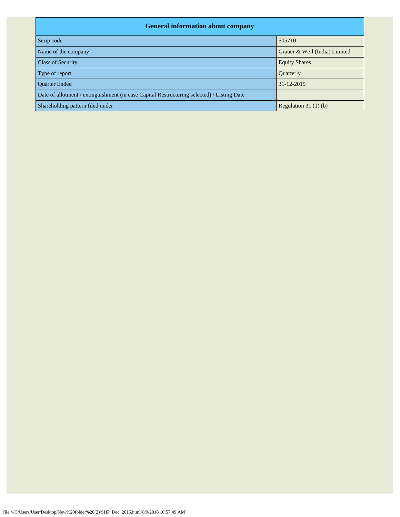| <b>General information about company</b>                                                   |                               |  |  |  |  |  |  |  |
|--------------------------------------------------------------------------------------------|-------------------------------|--|--|--|--|--|--|--|
| Scrip code                                                                                 | 505710                        |  |  |  |  |  |  |  |
| Name of the company                                                                        | Grauer & Weil (India) Limited |  |  |  |  |  |  |  |
| <b>Class of Security</b>                                                                   | <b>Equity Shares</b>          |  |  |  |  |  |  |  |
| Type of report                                                                             | Quarterly                     |  |  |  |  |  |  |  |
| <b>Ouarter Ended</b>                                                                       | 31-12-2015                    |  |  |  |  |  |  |  |
| Date of allotment / extinguishment (in case Capital Restructuring selected) / Listing Date |                               |  |  |  |  |  |  |  |
| Shareholding pattern filed under                                                           | Regulation $31(1)(b)$         |  |  |  |  |  |  |  |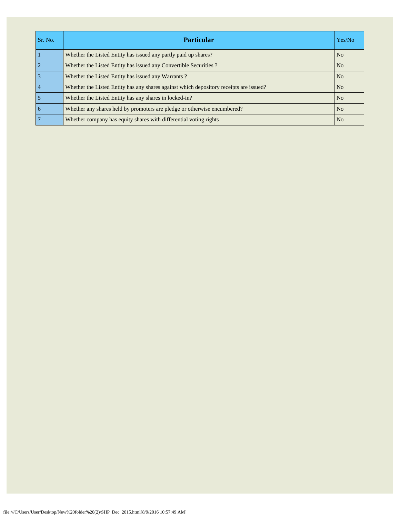| Sr. No.         | <b>Particular</b>                                                                      | Yes/No         |
|-----------------|----------------------------------------------------------------------------------------|----------------|
|                 | Whether the Listed Entity has issued any partly paid up shares?                        | N <sub>o</sub> |
| $\overline{2}$  | Whether the Listed Entity has issued any Convertible Securities?                       | N <sub>o</sub> |
| $\overline{3}$  | Whether the Listed Entity has issued any Warrants?                                     | N <sub>o</sub> |
| $\overline{4}$  | Whether the Listed Entity has any shares against which depository receipts are issued? | N <sub>o</sub> |
| 5               | Whether the Listed Entity has any shares in locked-in?                                 | N <sub>0</sub> |
| $\overline{6}$  | Whether any shares held by promoters are pledge or otherwise encumbered?               | N <sub>o</sub> |
| $7\phantom{.0}$ | Whether company has equity shares with differential voting rights                      | N <sub>o</sub> |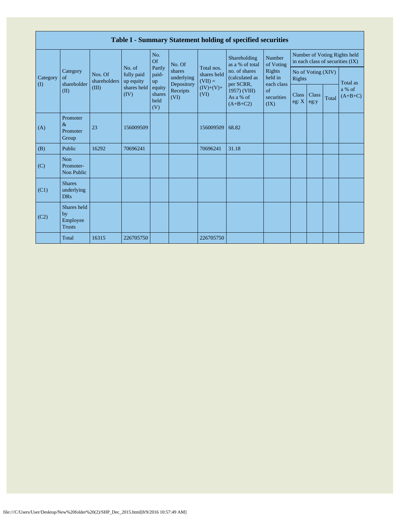|                                        | Table I - Summary Statement holding of specified securities |                        |                         |                                 |                                    |                                        |                                              |                                                             |                                     |               |       |                                                                  |  |
|----------------------------------------|-------------------------------------------------------------|------------------------|-------------------------|---------------------------------|------------------------------------|----------------------------------------|----------------------------------------------|-------------------------------------------------------------|-------------------------------------|---------------|-------|------------------------------------------------------------------|--|
|                                        | Category<br>Nos. Of<br>of<br>shareholder<br>(III)<br>(II)   | No. of<br>shareholders |                         | No.<br>Of                       | No. Of                             |                                        | Shareholding<br>as a % of total              | Number<br>of Voting                                         |                                     |               |       | Number of Voting Rights held<br>in each class of securities (IX) |  |
| Category<br>$\left( \mathrm{I}\right)$ |                                                             |                        | fully paid<br>up equity | Partly<br>paid-<br>up           | shares<br>underlying<br>Depository | Total nos.<br>shares held<br>$(VII) =$ | no. of shares<br>(calculated as<br>per SCRR, | Rights<br>held in<br>each class<br>of<br>securities<br>(IX) | No of Voting (XIV)<br><b>Rights</b> |               |       | Total as                                                         |  |
|                                        |                                                             |                        | shares held<br>(IV)     | equity<br>shares<br>held<br>(V) | Receipts<br>(VI)                   | $(IV)+(V)+$<br>(VI)                    | 1957) (VIII)<br>As a % of<br>$(A+B+C2)$      |                                                             | Class<br>eg: $X$                    | Class<br>eg:y | Total | a % of<br>$(A+B+C)$                                              |  |
| (A)                                    | Promoter<br>$\&$<br>Promoter<br>Group                       | 23                     | 156009509               |                                 |                                    | 156009509                              | 68.82                                        |                                                             |                                     |               |       |                                                                  |  |
| (B)                                    | Public                                                      | 16292                  | 70696241                |                                 |                                    | 70696241                               | 31.18                                        |                                                             |                                     |               |       |                                                                  |  |
| (C)                                    | Non<br>Promoter-<br>Non Public                              |                        |                         |                                 |                                    |                                        |                                              |                                                             |                                     |               |       |                                                                  |  |
| (C1)                                   | <b>Shares</b><br>underlying<br><b>DRs</b>                   |                        |                         |                                 |                                    |                                        |                                              |                                                             |                                     |               |       |                                                                  |  |
| (C2)                                   | Shares held<br>by<br>Employee<br><b>Trusts</b>              |                        |                         |                                 |                                    |                                        |                                              |                                                             |                                     |               |       |                                                                  |  |
|                                        | Total                                                       | 16315                  | 226705750               |                                 |                                    | 226705750                              |                                              |                                                             |                                     |               |       |                                                                  |  |

Г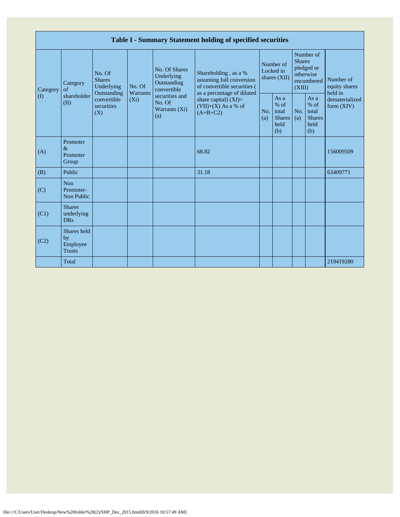|                               | Table I - Summary Statement holding of specified securities |                                                                                          |                               |                                                                                                               |                                                                                              |                                        |                                                    |                                                                               |                                                         |                                       |  |  |  |
|-------------------------------|-------------------------------------------------------------|------------------------------------------------------------------------------------------|-------------------------------|---------------------------------------------------------------------------------------------------------------|----------------------------------------------------------------------------------------------|----------------------------------------|----------------------------------------------------|-------------------------------------------------------------------------------|---------------------------------------------------------|---------------------------------------|--|--|--|
| Category<br>$\textcircled{1}$ | Category<br>of<br>shareholder<br>(II)                       | No. Of<br><b>Shares</b><br>Underlying<br>Outstanding<br>convertible<br>securities<br>(X) | No. Of<br>Warrants<br>$(X_i)$ | No. Of Shares<br>Underlying<br>Outstanding<br>convertible<br>securities and<br>No. Of<br>Warrants (Xi)<br>(a) | Shareholding, as a %<br>assuming full conversion<br>of convertible securities (              | Number of<br>Locked in<br>shares (XII) |                                                    | Number of<br><b>Shares</b><br>pledged or<br>otherwise<br>encumbered<br>(XIII) |                                                         | Number of<br>equity shares<br>held in |  |  |  |
|                               |                                                             |                                                                                          |                               |                                                                                                               | as a percentage of diluted<br>share capital) $(XI)$ =<br>$(VII)+(X)$ As a % of<br>$(A+B+C2)$ | No.<br>(a)                             | As a<br>$%$ of<br>total<br>Shares  <br>held<br>(b) | No.<br>(a)                                                                    | As a<br>$%$ of<br>total<br><b>Shares</b><br>held<br>(b) | dematerialized<br>form $(XIV)$        |  |  |  |
| (A)                           | Promoter<br>$\&$<br>Promoter<br>Group                       |                                                                                          |                               |                                                                                                               | 68.82                                                                                        |                                        |                                                    |                                                                               |                                                         | 156009509                             |  |  |  |
| (B)                           | Public                                                      |                                                                                          |                               |                                                                                                               | 31.18                                                                                        |                                        |                                                    |                                                                               |                                                         | 63409771                              |  |  |  |
| (C)                           | <b>Non</b><br>Promoter-<br>Non Public                       |                                                                                          |                               |                                                                                                               |                                                                                              |                                        |                                                    |                                                                               |                                                         |                                       |  |  |  |
| (C1)                          | <b>Shares</b><br>underlying<br><b>DRs</b>                   |                                                                                          |                               |                                                                                                               |                                                                                              |                                        |                                                    |                                                                               |                                                         |                                       |  |  |  |
| (C2)                          | Shares held<br>by<br>Employee<br><b>Trusts</b>              |                                                                                          |                               |                                                                                                               |                                                                                              |                                        |                                                    |                                                                               |                                                         |                                       |  |  |  |
|                               | Total                                                       |                                                                                          |                               |                                                                                                               |                                                                                              |                                        |                                                    |                                                                               |                                                         | 219419280                             |  |  |  |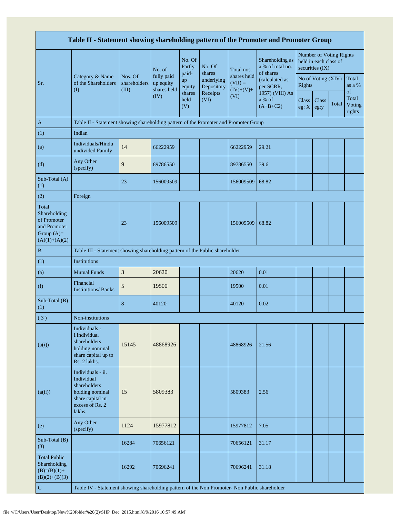| Table II - Statement showing shareholding pattern of the Promoter and Promoter Group    |                                                                                                                     |                                  |                                        |                       |                                    |                                         |                                          |                  |                                          |                         |                                 |  |
|-----------------------------------------------------------------------------------------|---------------------------------------------------------------------------------------------------------------------|----------------------------------|----------------------------------------|-----------------------|------------------------------------|-----------------------------------------|------------------------------------------|------------------|------------------------------------------|-------------------------|---------------------------------|--|
|                                                                                         |                                                                                                                     |                                  | No. of                                 | No. Of<br>Partly      | No. Of                             | Total nos.                              | Shareholding as<br>a % of total no.      |                  | held in each class of<br>securities (IX) | Number of Voting Rights |                                 |  |
| Sr.                                                                                     | Category & Name<br>of the Shareholders<br>$\rm(D)$                                                                  | Nos. Of<br>shareholders<br>(III) | fully paid<br>up equity<br>shares held | paid-<br>up<br>equity | shares<br>underlying<br>Depository | shares held<br>$(VII) =$<br>$(IV)+(V)+$ | of shares<br>(calculated as<br>per SCRR, | <b>Rights</b>    | No of Voting (XIV)                       |                         | Total<br>as a %                 |  |
|                                                                                         |                                                                                                                     |                                  | (IV)                                   | shares<br>held<br>(V) | Receipts<br>(VI)                   | (VI)                                    | 1957) (VIII) As<br>a % of<br>$(A+B+C2)$  | Class<br>eg: $X$ | Class<br>eg:y                            | Total                   | of<br>Total<br>Voting<br>rights |  |
| $\mathbf{A}$                                                                            | Table II - Statement showing shareholding pattern of the Promoter and Promoter Group                                |                                  |                                        |                       |                                    |                                         |                                          |                  |                                          |                         |                                 |  |
| (1)                                                                                     | Indian                                                                                                              |                                  |                                        |                       |                                    |                                         |                                          |                  |                                          |                         |                                 |  |
| (a)                                                                                     | Individuals/Hindu<br>undivided Family                                                                               | 14                               | 66222959                               |                       |                                    | 66222959                                | 29.21                                    |                  |                                          |                         |                                 |  |
| (d)                                                                                     | Any Other<br>(specify)                                                                                              | 9                                | 89786550                               |                       |                                    | 89786550                                | 39.6                                     |                  |                                          |                         |                                 |  |
| Sub-Total (A)<br>(1)                                                                    |                                                                                                                     | 23                               | 156009509                              |                       |                                    | 156009509                               | 68.82                                    |                  |                                          |                         |                                 |  |
| (2)                                                                                     | Foreign                                                                                                             |                                  |                                        |                       |                                    |                                         |                                          |                  |                                          |                         |                                 |  |
| Total<br>Shareholding<br>of Promoter<br>and Promoter<br>Group $(A)=$<br>$(A)(1)+(A)(2)$ |                                                                                                                     | 23                               | 156009509                              |                       |                                    | 156009509                               | 68.82                                    |                  |                                          |                         |                                 |  |
| B                                                                                       | Table III - Statement showing shareholding pattern of the Public shareholder                                        |                                  |                                        |                       |                                    |                                         |                                          |                  |                                          |                         |                                 |  |
| (1)                                                                                     | <b>Institutions</b>                                                                                                 |                                  |                                        |                       |                                    |                                         |                                          |                  |                                          |                         |                                 |  |
| (a)                                                                                     | <b>Mutual Funds</b>                                                                                                 | $\sqrt{3}$                       | 20620                                  |                       |                                    | 20620                                   | 0.01                                     |                  |                                          |                         |                                 |  |
| (f)                                                                                     | Financial<br><b>Institutions/Banks</b>                                                                              | $\mathfrak s$                    | 19500                                  |                       |                                    | 19500                                   | 0.01                                     |                  |                                          |                         |                                 |  |
| Sub-Total (B)<br>(1)                                                                    |                                                                                                                     | $\bf 8$                          | 40120                                  |                       |                                    | 40120                                   | 0.02                                     |                  |                                          |                         |                                 |  |
| (3)                                                                                     | Non-institutions                                                                                                    |                                  |                                        |                       |                                    |                                         |                                          |                  |                                          |                         |                                 |  |
| (a(i))                                                                                  | Individuals -<br>i Individual<br>shareholders<br>holding nominal<br>share capital up to<br>Rs. 2 lakhs.             | 15145                            | 48868926                               |                       |                                    | 48868926                                | 21.56                                    |                  |                                          |                         |                                 |  |
| (a(ii))                                                                                 | Individuals - ii.<br>Individual<br>shareholders<br>holding nominal<br>share capital in<br>excess of Rs. 2<br>lakhs. | 15                               | 5809383                                |                       |                                    | 5809383                                 | 2.56                                     |                  |                                          |                         |                                 |  |
| (e)                                                                                     | Any Other<br>(specify)                                                                                              | 1124                             | 15977812                               |                       |                                    | 15977812                                | 7.05                                     |                  |                                          |                         |                                 |  |
| Sub-Total (B)<br>(3)                                                                    |                                                                                                                     | 16284                            | 70656121                               |                       |                                    | 70656121                                | 31.17                                    |                  |                                          |                         |                                 |  |
| <b>Total Public</b><br>Shareholding<br>$(B)=(B)(1)+$<br>$(B)(2)+(B)(3)$                 |                                                                                                                     | 16292                            | 70696241                               |                       |                                    | 70696241                                | 31.18                                    |                  |                                          |                         |                                 |  |
| ${\bf C}$                                                                               | Table IV - Statement showing shareholding pattern of the Non Promoter- Non Public shareholder                       |                                  |                                        |                       |                                    |                                         |                                          |                  |                                          |                         |                                 |  |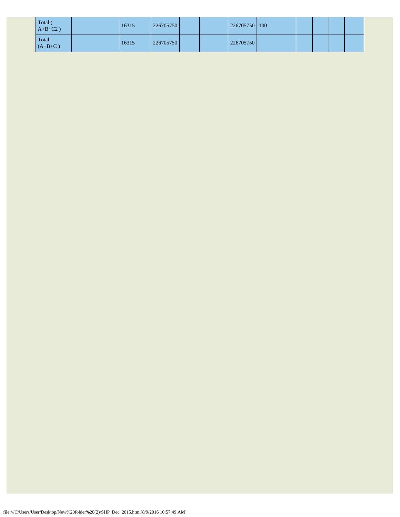| Total (<br>$A+B+C2$ ) | 16315 | 226705750 |  | 226705750   100 |  |  |  |
|-----------------------|-------|-----------|--|-----------------|--|--|--|
| Total<br>$(A+B+C)$    | 16315 | 226705750 |  | 226705750       |  |  |  |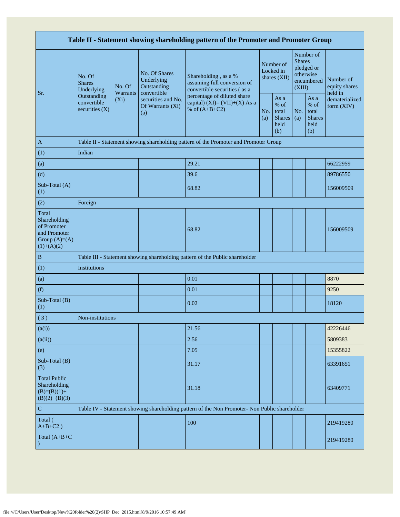| Table II - Statement showing shareholding pattern of the Promoter and Promoter Group    |                                                                                               |                            |                                                              |                                                                                      |                                        |                                                       |                                                                               |                                                         |                                           |  |  |
|-----------------------------------------------------------------------------------------|-----------------------------------------------------------------------------------------------|----------------------------|--------------------------------------------------------------|--------------------------------------------------------------------------------------|----------------------------------------|-------------------------------------------------------|-------------------------------------------------------------------------------|---------------------------------------------------------|-------------------------------------------|--|--|
|                                                                                         | No. Of<br><b>Shares</b><br>Underlying                                                         | No. Of                     | No. Of Shares<br>Underlying<br>Outstanding                   | Shareholding, as a %<br>assuming full conversion of<br>convertible securities (as a  | Number of<br>Locked in<br>shares (XII) |                                                       | Number of<br><b>Shares</b><br>pledged or<br>otherwise<br>encumbered<br>(XIII) |                                                         | Number of<br>equity shares                |  |  |
| Sr.                                                                                     | Outstanding<br>convertible<br>securities $(X)$                                                | <b>Warrants</b><br>$(X_i)$ | convertible<br>securities and No.<br>Of Warrants (Xi)<br>(a) | percentage of diluted share<br>capital) (XI)= $(VII)+(X)$ As a<br>% of $(A+B+C2)$    | No.<br>(a)                             | As a<br>% of<br>total<br><b>Shares</b><br>held<br>(b) | No.<br>(a)                                                                    | As a<br>$%$ of<br>total<br><b>Shares</b><br>held<br>(b) | held in<br>dematerialized<br>form $(XIV)$ |  |  |
| A                                                                                       |                                                                                               |                            |                                                              | Table II - Statement showing shareholding pattern of the Promoter and Promoter Group |                                        |                                                       |                                                                               |                                                         |                                           |  |  |
| (1)                                                                                     | Indian                                                                                        |                            |                                                              |                                                                                      |                                        |                                                       |                                                                               |                                                         |                                           |  |  |
| (a)                                                                                     |                                                                                               |                            |                                                              | 29.21                                                                                |                                        |                                                       |                                                                               |                                                         | 66222959                                  |  |  |
| (d)                                                                                     |                                                                                               |                            |                                                              | 39.6                                                                                 |                                        |                                                       |                                                                               |                                                         | 89786550                                  |  |  |
| Sub-Total (A)<br>(1)                                                                    |                                                                                               |                            |                                                              | 68.82                                                                                |                                        |                                                       |                                                                               |                                                         | 156009509                                 |  |  |
| (2)                                                                                     | Foreign                                                                                       |                            |                                                              |                                                                                      |                                        |                                                       |                                                                               |                                                         |                                           |  |  |
| Total<br>Shareholding<br>of Promoter<br>and Promoter<br>Group $(A)=(A)$<br>$(1)+(A)(2)$ |                                                                                               |                            |                                                              | 68.82                                                                                |                                        |                                                       |                                                                               |                                                         | 156009509                                 |  |  |
| $\, {\bf B}$                                                                            |                                                                                               |                            |                                                              | Table III - Statement showing shareholding pattern of the Public shareholder         |                                        |                                                       |                                                                               |                                                         |                                           |  |  |
| (1)                                                                                     | Institutions                                                                                  |                            |                                                              |                                                                                      |                                        |                                                       |                                                                               |                                                         |                                           |  |  |
| (a)                                                                                     |                                                                                               |                            |                                                              | 0.01                                                                                 |                                        |                                                       |                                                                               |                                                         | 8870                                      |  |  |
| (f)                                                                                     |                                                                                               |                            |                                                              | 0.01                                                                                 |                                        |                                                       |                                                                               |                                                         | 9250                                      |  |  |
| Sub-Total (B)<br>(1)                                                                    |                                                                                               |                            |                                                              | 0.02                                                                                 |                                        |                                                       |                                                                               |                                                         | 18120                                     |  |  |
| (3)                                                                                     | Non-institutions                                                                              |                            |                                                              |                                                                                      |                                        |                                                       |                                                                               |                                                         |                                           |  |  |
| (a(i))                                                                                  |                                                                                               |                            |                                                              | 21.56                                                                                |                                        |                                                       |                                                                               |                                                         | 42226446                                  |  |  |
| (a(ii))                                                                                 |                                                                                               |                            |                                                              | 2.56                                                                                 |                                        |                                                       |                                                                               |                                                         | 5809383                                   |  |  |
| (e)                                                                                     |                                                                                               |                            |                                                              | 7.05                                                                                 |                                        |                                                       |                                                                               |                                                         | 15355822                                  |  |  |
| Sub-Total (B)<br>(3)                                                                    |                                                                                               |                            |                                                              | 31.17                                                                                |                                        |                                                       |                                                                               |                                                         | 63391651                                  |  |  |
| <b>Total Public</b><br>Shareholding<br>$(B)=(B)(1)+$<br>$(B)(2)+(B)(3)$                 |                                                                                               |                            |                                                              | 31.18                                                                                |                                        |                                                       |                                                                               |                                                         | 63409771                                  |  |  |
| ${\bf C}$                                                                               | Table IV - Statement showing shareholding pattern of the Non Promoter- Non Public shareholder |                            |                                                              |                                                                                      |                                        |                                                       |                                                                               |                                                         |                                           |  |  |
| Total (<br>$A+B+C2$ )                                                                   |                                                                                               |                            |                                                              | 100                                                                                  |                                        |                                                       |                                                                               |                                                         | 219419280                                 |  |  |
| Total $(A+B+C)$                                                                         |                                                                                               |                            |                                                              |                                                                                      |                                        |                                                       |                                                                               |                                                         | 219419280                                 |  |  |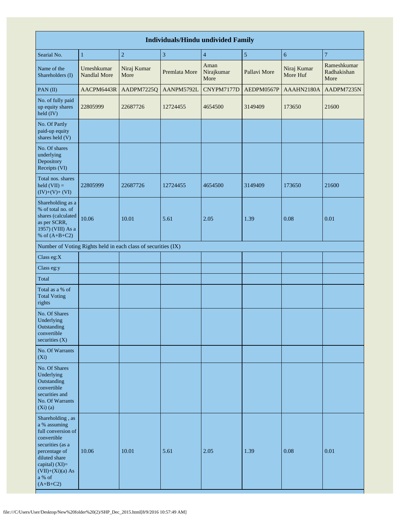| <b>Individuals/Hindu undivided Family</b>                                                                                                                                                          |                                   |                                                               |                         |                            |              |                         |                                    |  |  |  |  |  |
|----------------------------------------------------------------------------------------------------------------------------------------------------------------------------------------------------|-----------------------------------|---------------------------------------------------------------|-------------------------|----------------------------|--------------|-------------------------|------------------------------------|--|--|--|--|--|
| Searial No.                                                                                                                                                                                        | $\mathbf{1}$                      | $\overline{c}$                                                | $\overline{\mathbf{3}}$ | $\overline{4}$             | 5            | 6                       | $\overline{7}$                     |  |  |  |  |  |
| Name of the<br>Shareholders (I)                                                                                                                                                                    | Umeshkumar<br><b>Nandlal More</b> | Niraj Kumar<br>More                                           | Premlata More           | Aman<br>Nirajkumar<br>More | Pallavi More | Niraj Kumar<br>More Huf | Rameshkumar<br>Radhakishan<br>More |  |  |  |  |  |
| PAN(II)                                                                                                                                                                                            | AACPM6443R                        | AADPM7225Q                                                    | AANPM5792L              | CNYPM7177D                 | AEDPM0567P   | AAAHN2180A              | AADPM7235N                         |  |  |  |  |  |
| No. of fully paid<br>up equity shares<br>held (IV)                                                                                                                                                 | 22805999                          | 22687726                                                      | 12724455                | 4654500                    | 3149409      | 173650                  | 21600                              |  |  |  |  |  |
| No. Of Partly<br>paid-up equity<br>shares held (V)                                                                                                                                                 |                                   |                                                               |                         |                            |              |                         |                                    |  |  |  |  |  |
| No. Of shares<br>underlying<br>Depository<br>Receipts (VI)                                                                                                                                         |                                   |                                                               |                         |                            |              |                         |                                    |  |  |  |  |  |
| Total nos. shares<br>$\text{held (VII)} =$<br>$(IV)+(V)+(VI)$                                                                                                                                      | 22805999                          | 22687726                                                      | 12724455                | 4654500                    | 3149409      | 173650                  | 21600                              |  |  |  |  |  |
| Shareholding as a<br>% of total no. of<br>shares (calculated<br>as per SCRR,<br>1957) (VIII) As a<br>% of $(A+B+C2)$                                                                               | 10.06                             | 10.01                                                         | 5.61                    | 2.05                       | 1.39         | 0.08                    | 0.01                               |  |  |  |  |  |
|                                                                                                                                                                                                    |                                   | Number of Voting Rights held in each class of securities (IX) |                         |                            |              |                         |                                    |  |  |  |  |  |
| Class eg:X                                                                                                                                                                                         |                                   |                                                               |                         |                            |              |                         |                                    |  |  |  |  |  |
| Class eg:y                                                                                                                                                                                         |                                   |                                                               |                         |                            |              |                         |                                    |  |  |  |  |  |
| Total                                                                                                                                                                                              |                                   |                                                               |                         |                            |              |                         |                                    |  |  |  |  |  |
| Total as a % of<br><b>Total Voting</b><br>rights                                                                                                                                                   |                                   |                                                               |                         |                            |              |                         |                                    |  |  |  |  |  |
| No. Of Shares<br>Underlying<br>Outstanding<br>convertible<br>securities (X)                                                                                                                        |                                   |                                                               |                         |                            |              |                         |                                    |  |  |  |  |  |
| No. Of Warrants<br>$(X_i)$                                                                                                                                                                         |                                   |                                                               |                         |                            |              |                         |                                    |  |  |  |  |  |
| No. Of Shares<br>Underlying<br>Outstanding<br>convertible<br>securities and<br>No. Of Warrants<br>(Xi)(a)                                                                                          |                                   |                                                               |                         |                            |              |                         |                                    |  |  |  |  |  |
| Shareholding, as<br>a % assuming<br>full conversion of<br>convertible<br>securities (as a<br>percentage of<br>diluted share<br>capital) (XI)=<br>$(VII)+(Xi)(a) As$<br>$\rm{a}$ % of<br>$(A+B+C2)$ | 10.06                             | 10.01                                                         | 5.61                    | 2.05                       | 1.39         | 0.08                    | 0.01                               |  |  |  |  |  |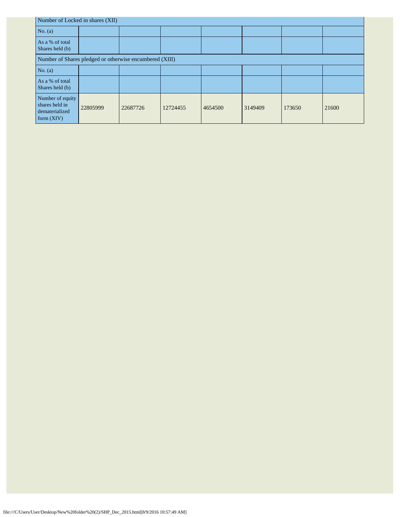| Number of Locked in shares (XII)                                     |          |          |          |         |         |        |       |  |  |  |  |
|----------------------------------------------------------------------|----------|----------|----------|---------|---------|--------|-------|--|--|--|--|
| No. $(a)$                                                            |          |          |          |         |         |        |       |  |  |  |  |
| As a % of total<br>Shares held (b)                                   |          |          |          |         |         |        |       |  |  |  |  |
| Number of Shares pledged or otherwise encumbered (XIII)              |          |          |          |         |         |        |       |  |  |  |  |
| No. $(a)$                                                            |          |          |          |         |         |        |       |  |  |  |  |
| As a % of total<br>Shares held (b)                                   |          |          |          |         |         |        |       |  |  |  |  |
| Number of equity<br>shares held in<br>dematerialized<br>form $(XIV)$ | 22805999 | 22687726 | 12724455 | 4654500 | 3149409 | 173650 | 21600 |  |  |  |  |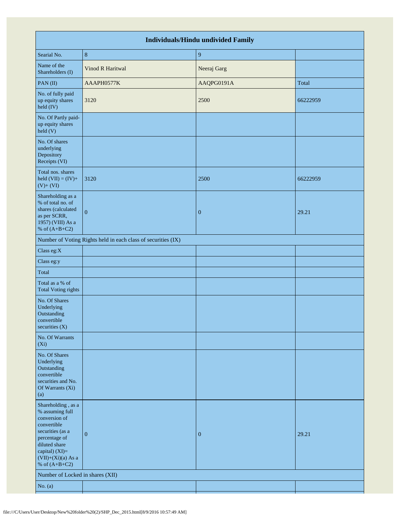| <b>Individuals/Hindu undivided Family</b>                                                                                                                                                |                                                               |                  |          |  |  |  |  |  |  |  |  |
|------------------------------------------------------------------------------------------------------------------------------------------------------------------------------------------|---------------------------------------------------------------|------------------|----------|--|--|--|--|--|--|--|--|
| Searial No.                                                                                                                                                                              | $\boldsymbol{8}$                                              | 9                |          |  |  |  |  |  |  |  |  |
| Name of the<br>Shareholders (I)                                                                                                                                                          | <b>Vinod R Haritwal</b>                                       | Neeraj Garg      |          |  |  |  |  |  |  |  |  |
| PAN(II)                                                                                                                                                                                  | AAAPH0577K                                                    | AAQPG0191A       | Total    |  |  |  |  |  |  |  |  |
| No. of fully paid<br>up equity shares<br>held (IV)                                                                                                                                       | 3120                                                          | 2500             | 66222959 |  |  |  |  |  |  |  |  |
| No. Of Partly paid-<br>up equity shares<br>held (V)                                                                                                                                      |                                                               |                  |          |  |  |  |  |  |  |  |  |
| No. Of shares<br>underlying<br>Depository<br>Receipts (VI)                                                                                                                               |                                                               |                  |          |  |  |  |  |  |  |  |  |
| Total nos. shares<br>held $(VII) = (IV) +$<br>$(V)+(VI)$                                                                                                                                 | 3120                                                          | 2500             | 66222959 |  |  |  |  |  |  |  |  |
| Shareholding as a<br>% of total no. of<br>shares (calculated<br>as per SCRR,<br>1957) (VIII) As a<br>% of $(A+B+C2)$                                                                     | $\mathbf{0}$                                                  | $\boldsymbol{0}$ | 29.21    |  |  |  |  |  |  |  |  |
|                                                                                                                                                                                          | Number of Voting Rights held in each class of securities (IX) |                  |          |  |  |  |  |  |  |  |  |
| Class eg:X                                                                                                                                                                               |                                                               |                  |          |  |  |  |  |  |  |  |  |
| Class eg:y                                                                                                                                                                               |                                                               |                  |          |  |  |  |  |  |  |  |  |
| Total                                                                                                                                                                                    |                                                               |                  |          |  |  |  |  |  |  |  |  |
| Total as a % of<br><b>Total Voting rights</b>                                                                                                                                            |                                                               |                  |          |  |  |  |  |  |  |  |  |
| No. Of Shares<br>Underlying<br>Outstanding<br>convertible<br>securities $(X)$                                                                                                            |                                                               |                  |          |  |  |  |  |  |  |  |  |
| No. Of Warrants<br>$(X_i)$                                                                                                                                                               |                                                               |                  |          |  |  |  |  |  |  |  |  |
| No. Of Shares<br>Underlying<br>Outstanding<br>convertible<br>securities and No.<br>Of Warrants (Xi)<br>(a)                                                                               |                                                               |                  |          |  |  |  |  |  |  |  |  |
| Shareholding, as a<br>% assuming full<br>conversion of<br>convertible<br>securities (as a<br>percentage of<br>diluted share<br>capital) (XI)=<br>$(VII)+(Xi)(a)$ As a<br>% of $(A+B+C2)$ | $\mathbf{0}$                                                  | $\bf{0}$         | 29.21    |  |  |  |  |  |  |  |  |
| Number of Locked in shares (XII)                                                                                                                                                         |                                                               |                  |          |  |  |  |  |  |  |  |  |
| No. $(a)$                                                                                                                                                                                |                                                               |                  |          |  |  |  |  |  |  |  |  |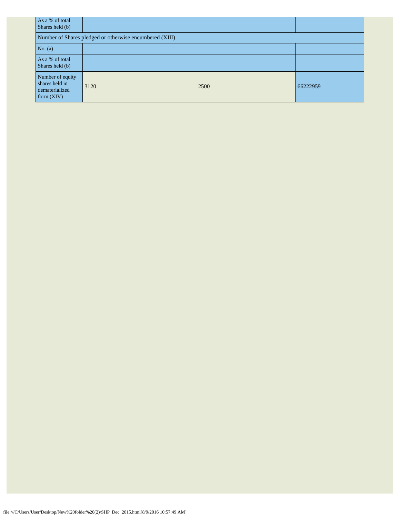| As a % of total<br>Shares held (b)                                 |                                                         |      |          |
|--------------------------------------------------------------------|---------------------------------------------------------|------|----------|
|                                                                    | Number of Shares pledged or otherwise encumbered (XIII) |      |          |
| No. (a)                                                            |                                                         |      |          |
| As a % of total<br>Shares held (b)                                 |                                                         |      |          |
| Number of equity<br>shares held in<br>dematerialized<br>form (XIV) | 3120                                                    | 2500 | 66222959 |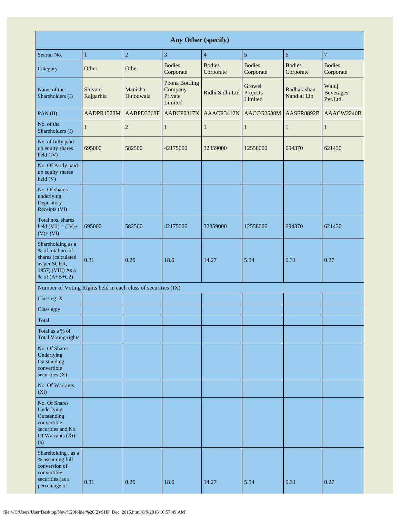| Any Other (specify)                                                                                                  |                      |                      |                                                 |                            |                               |                            |                                       |  |  |  |  |
|----------------------------------------------------------------------------------------------------------------------|----------------------|----------------------|-------------------------------------------------|----------------------------|-------------------------------|----------------------------|---------------------------------------|--|--|--|--|
| Searial No.                                                                                                          | $\mathbf{1}$         | $\boldsymbol{2}$     | $\overline{\mathbf{3}}$                         | $\overline{4}$             | 5                             | 6                          | $\overline{\mathcal{I}}$              |  |  |  |  |
| Category                                                                                                             | Other                | Other                | <b>Bodies</b><br>Corporate                      | <b>Bodies</b><br>Corporate | <b>Bodies</b><br>Corporate    | <b>Bodies</b><br>Corporate | <b>Bodies</b><br>Corporate            |  |  |  |  |
| Name of the<br>Shareholders (I)                                                                                      | Shivani<br>Rajgarhia | Manisha<br>Dujodwala | Poona Bottling<br>Company<br>Private<br>Limited | Ridhi Sidhi Ltd            | Growel<br>Projects<br>Limited | Radhakishan<br>Nandlal Llp | Waluj<br><b>Beverages</b><br>Pvt.Ltd. |  |  |  |  |
| PAN(II)                                                                                                              | AADPR1328M           | AABPD3368F           | AABCP0317K                                      | AAACR3412N                 | AACCG2638M                    | AASFR8892B                 | AAACW2240B                            |  |  |  |  |
| No. of the<br>Shareholders (I)                                                                                       | $\mathbf{1}$         | $\overline{2}$       | 1                                               | $\mathbf{1}$               | $\mathbf{1}$                  | $\mathbf{1}$               | $\mathbf{1}$                          |  |  |  |  |
| No. of fully paid<br>up equity shares<br>held (IV)                                                                   | 695000               | 582500               | 42175000                                        | 32359000                   | 12558000                      | 694370                     | 621430                                |  |  |  |  |
| No. Of Partly paid-<br>up equity shares<br>$\text{held}$ (V)                                                         |                      |                      |                                                 |                            |                               |                            |                                       |  |  |  |  |
| No. Of shares<br>underlying<br>Depository<br>Receipts (VI)                                                           |                      |                      |                                                 |                            |                               |                            |                                       |  |  |  |  |
| Total nos. shares<br>held $(VII) = (IV) +$<br>$(V)$ + $(VI)$                                                         | 695000               | 582500               | 42175000                                        | 32359000                   | 12558000                      | 694370                     | 621430                                |  |  |  |  |
| Shareholding as a<br>% of total no. of<br>shares (calculated<br>as per SCRR,<br>1957) (VIII) As a<br>% of $(A+B+C2)$ | 0.31                 | 0.26                 | 18.6                                            | 14.27                      | 5.54                          | 0.31                       | 0.27                                  |  |  |  |  |
| Number of Voting Rights held in each class of securities (IX)                                                        |                      |                      |                                                 |                            |                               |                            |                                       |  |  |  |  |
| Class eg: X                                                                                                          |                      |                      |                                                 |                            |                               |                            |                                       |  |  |  |  |
| Class eg:y                                                                                                           |                      |                      |                                                 |                            |                               |                            |                                       |  |  |  |  |
| Total                                                                                                                |                      |                      |                                                 |                            |                               |                            |                                       |  |  |  |  |
| Total as a % of<br><b>Total Voting rights</b>                                                                        |                      |                      |                                                 |                            |                               |                            |                                       |  |  |  |  |
| No. Of Shares<br>Underlying<br>Outstanding<br>convertible<br>securities (X)                                          |                      |                      |                                                 |                            |                               |                            |                                       |  |  |  |  |
| No. Of Warrants<br>$(X_i)$                                                                                           |                      |                      |                                                 |                            |                               |                            |                                       |  |  |  |  |
| No. Of Shares<br>Underlying<br>Outstanding<br>convertible<br>securities and No.<br>Of Warrants (Xi)<br>(a)           |                      |                      |                                                 |                            |                               |                            |                                       |  |  |  |  |
| Shareholding, as a<br>% assuming full<br>conversion of<br>convertible<br>securities (as a<br>percentage of           | 0.31                 | 0.26                 | 18.6                                            | 14.27                      | 5.54                          | 0.31                       | 0.27                                  |  |  |  |  |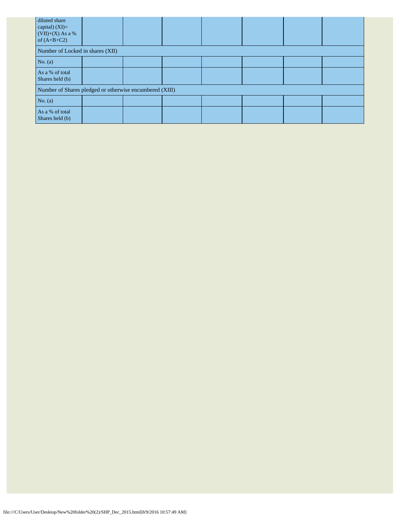| diluted share<br>capital) $(XI)=$<br>$(VII)+(X)$ As a %<br>of $(A+B+C2)$ |  |  |  |  |
|--------------------------------------------------------------------------|--|--|--|--|
| Number of Locked in shares (XII)                                         |  |  |  |  |
| No. $(a)$                                                                |  |  |  |  |
| As a % of total<br>Shares held (b)                                       |  |  |  |  |
| Number of Shares pledged or otherwise encumbered (XIII)                  |  |  |  |  |
| No. $(a)$                                                                |  |  |  |  |
| As a % of total<br>Shares held (b)                                       |  |  |  |  |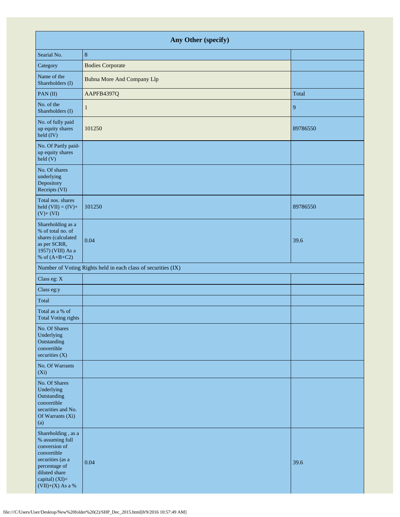| Any Other (specify)                                                                                                                                                 |                                                               |          |  |  |
|---------------------------------------------------------------------------------------------------------------------------------------------------------------------|---------------------------------------------------------------|----------|--|--|
| Searial No.                                                                                                                                                         | 8                                                             |          |  |  |
| Category                                                                                                                                                            | <b>Bodies Corporate</b>                                       |          |  |  |
| Name of the<br>Shareholders (I)                                                                                                                                     | <b>Bubna More And Company Llp</b>                             |          |  |  |
| PAN(II)                                                                                                                                                             | AAPFB4397Q                                                    | Total    |  |  |
| No. of the<br>Shareholders (I)                                                                                                                                      | 1                                                             | 9        |  |  |
| No. of fully paid<br>up equity shares<br>held (IV)                                                                                                                  | 101250                                                        | 89786550 |  |  |
| No. Of Partly paid-<br>up equity shares<br>held (V)                                                                                                                 |                                                               |          |  |  |
| No. Of shares<br>underlying<br>Depository<br>Receipts (VI)                                                                                                          |                                                               |          |  |  |
| Total nos. shares<br>held $(VII) = (IV) +$<br>$(V) + (VI)$                                                                                                          | 101250                                                        | 89786550 |  |  |
| Shareholding as a<br>% of total no. of<br>shares (calculated<br>as per SCRR,<br>1957) (VIII) As a<br>% of $(A+B+C2)$                                                | 0.04                                                          | 39.6     |  |  |
|                                                                                                                                                                     | Number of Voting Rights held in each class of securities (IX) |          |  |  |
| Class eg: X                                                                                                                                                         |                                                               |          |  |  |
| Class eg:y                                                                                                                                                          |                                                               |          |  |  |
| Total                                                                                                                                                               |                                                               |          |  |  |
| Total as a % of<br><b>Total Voting rights</b>                                                                                                                       |                                                               |          |  |  |
| No. Of Shares<br>Underlying<br>Outstanding<br>convertible<br>securities (X)                                                                                         |                                                               |          |  |  |
| No. Of Warrants<br>$(X_i)$                                                                                                                                          |                                                               |          |  |  |
| No. Of Shares<br>Underlying<br>Outstanding<br>convertible<br>securities and No.<br>Of Warrants (Xi)<br>(a)                                                          |                                                               |          |  |  |
| Shareholding, as a<br>% assuming full<br>conversion of<br>convertible<br>securities (as a<br>percentage of<br>diluted share<br>capital) (XI)=<br>$(VII)+(X)$ As a % | 0.04                                                          | 39.6     |  |  |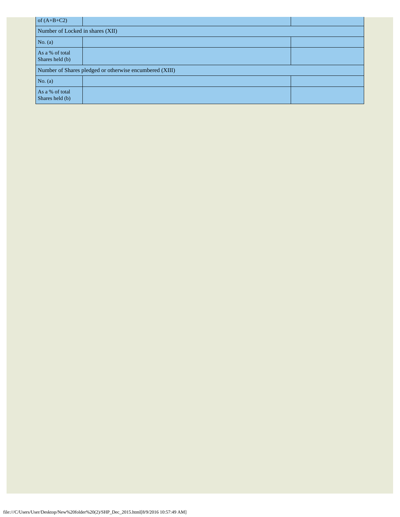| of $(A+B+C2)$                                           |  |  |  |  |  |
|---------------------------------------------------------|--|--|--|--|--|
| Number of Locked in shares (XII)                        |  |  |  |  |  |
| No. $(a)$                                               |  |  |  |  |  |
| As a % of total<br>Shares held (b)                      |  |  |  |  |  |
| Number of Shares pledged or otherwise encumbered (XIII) |  |  |  |  |  |
| No. (a)                                                 |  |  |  |  |  |
| As a % of total<br>Shares held (b)                      |  |  |  |  |  |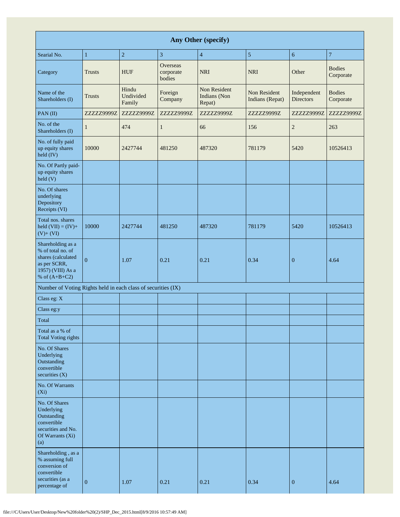| Any Other (specify)                                                                                                  |                |                              |                                        |                                        |                                 |                                 |                            |
|----------------------------------------------------------------------------------------------------------------------|----------------|------------------------------|----------------------------------------|----------------------------------------|---------------------------------|---------------------------------|----------------------------|
| Searial No.                                                                                                          | $\mathbf{1}$   | $\sqrt{2}$                   | 3                                      | $\overline{4}$                         | 5                               | $\sqrt{6}$                      | $\overline{7}$             |
| Category                                                                                                             | <b>Trusts</b>  | <b>HUF</b>                   | <b>Overseas</b><br>corporate<br>bodies | <b>NRI</b>                             | <b>NRI</b>                      | Other                           | <b>Bodies</b><br>Corporate |
| Name of the<br>Shareholders (I)                                                                                      | <b>Trusts</b>  | Hindu<br>Undivided<br>Family | Foreign<br>Company                     | Non Resident<br>Indians (Non<br>Repat) | Non Resident<br>Indians (Repat) | Independent<br><b>Directors</b> | <b>Bodies</b><br>Corporate |
| PAN(II)                                                                                                              | ZZZZZ9999Z     | ZZZZZ9999Z                   | ZZZZZ9999Z                             | ZZZZZ9999Z                             | ZZZZZ9999Z                      | ZZZZZ9999Z                      | ZZZZZ9999Z                 |
| No. of the<br>Shareholders (I)                                                                                       | 1              | 474                          | $\mathbf{1}$                           | 66                                     | 156                             | $\overline{c}$                  | 263                        |
| No. of fully paid<br>up equity shares<br>held (IV)                                                                   | 10000          | 2427744                      | 481250                                 | 487320                                 | 781179                          | 5420                            | 10526413                   |
| No. Of Partly paid-<br>up equity shares<br>held(V)                                                                   |                |                              |                                        |                                        |                                 |                                 |                            |
| No. Of shares<br>underlying<br>Depository<br>Receipts (VI)                                                           |                |                              |                                        |                                        |                                 |                                 |                            |
| Total nos. shares<br>held $(VII) = (IV) +$<br>$(V)$ + $(VI)$                                                         | 10000          | 2427744                      | 481250                                 | 487320                                 | 781179                          | 5420                            | 10526413                   |
| Shareholding as a<br>% of total no. of<br>shares (calculated<br>as per SCRR,<br>1957) (VIII) As a<br>% of $(A+B+C2)$ | $\overline{0}$ | 1.07                         | 0.21                                   | 0.21                                   | 0.34                            | $\mathbf{0}$                    | 4.64                       |
| Number of Voting Rights held in each class of securities (IX)                                                        |                |                              |                                        |                                        |                                 |                                 |                            |
| Class eg: X                                                                                                          |                |                              |                                        |                                        |                                 |                                 |                            |
| Class eg:y                                                                                                           |                |                              |                                        |                                        |                                 |                                 |                            |
| Total                                                                                                                |                |                              |                                        |                                        |                                 |                                 |                            |
| Total as a % of<br><b>Total Voting rights</b>                                                                        |                |                              |                                        |                                        |                                 |                                 |                            |
| No. Of Shares<br>Underlying<br>Outstanding<br>convertible<br>securities $(X)$                                        |                |                              |                                        |                                        |                                 |                                 |                            |
| No. Of Warrants<br>$(X_i)$                                                                                           |                |                              |                                        |                                        |                                 |                                 |                            |
| No. Of Shares<br>Underlying<br>Outstanding<br>convertible<br>securities and No.<br>Of Warrants (Xi)<br>(a)           |                |                              |                                        |                                        |                                 |                                 |                            |
| Shareholding, as a<br>% assuming full<br>conversion of<br>convertible<br>securities (as a<br>percentage of           | $\mathbf{0}$   | 1.07                         | 0.21                                   | 0.21                                   | 0.34                            | $\boldsymbol{0}$                | 4.64                       |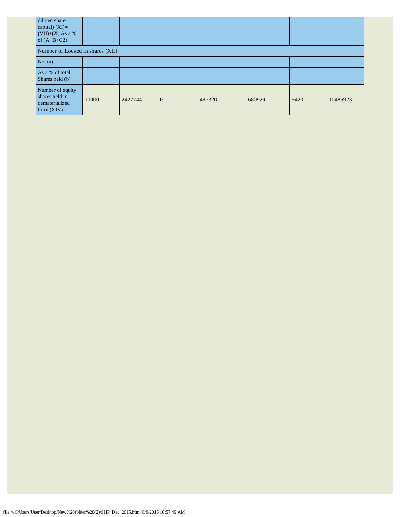| diluted share<br>capital) $(XI)=$<br>$(VII)+(X)$ As a %<br>of $(A+B+C2)$ |       |         |                |        |        |      |          |
|--------------------------------------------------------------------------|-------|---------|----------------|--------|--------|------|----------|
| Number of Locked in shares (XII)                                         |       |         |                |        |        |      |          |
| No. (a)                                                                  |       |         |                |        |        |      |          |
| As a % of total<br>Shares held (b)                                       |       |         |                |        |        |      |          |
| Number of equity<br>shares held in<br>dematerialized<br>form $(XIV)$     | 10000 | 2427744 | $\overline{0}$ | 487320 | 680929 | 5420 | 10485923 |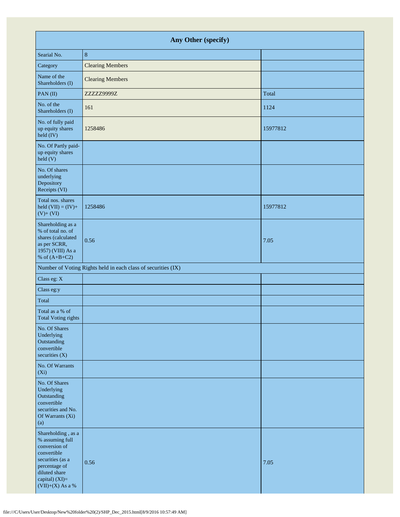| Any Other (specify)                                                                                                                                                 |                                                               |          |  |  |  |
|---------------------------------------------------------------------------------------------------------------------------------------------------------------------|---------------------------------------------------------------|----------|--|--|--|
| Searial No.                                                                                                                                                         | $\,8\,$                                                       |          |  |  |  |
| Category                                                                                                                                                            | <b>Clearing Members</b>                                       |          |  |  |  |
| Name of the<br>Shareholders (I)                                                                                                                                     | <b>Clearing Members</b>                                       |          |  |  |  |
| PAN(II)                                                                                                                                                             | ZZZZZ9999Z                                                    | Total    |  |  |  |
| No. of the<br>Shareholders (I)                                                                                                                                      | 161                                                           | 1124     |  |  |  |
| No. of fully paid<br>up equity shares<br>$\text{held (IV)}$                                                                                                         | 1258486                                                       | 15977812 |  |  |  |
| No. Of Partly paid-<br>up equity shares<br>held(V)                                                                                                                  |                                                               |          |  |  |  |
| No. Of shares<br>underlying<br>Depository<br>Receipts (VI)                                                                                                          |                                                               |          |  |  |  |
| Total nos. shares<br>held $(VII) = (IV) +$<br>$(V)+(VI)$                                                                                                            | 1258486                                                       | 15977812 |  |  |  |
| Shareholding as a<br>% of total no. of<br>shares (calculated<br>as per SCRR,<br>1957) (VIII) As a<br>% of $(A+B+C2)$                                                | 0.56                                                          | 7.05     |  |  |  |
|                                                                                                                                                                     | Number of Voting Rights held in each class of securities (IX) |          |  |  |  |
| Class eg: X                                                                                                                                                         |                                                               |          |  |  |  |
| Class eg:y                                                                                                                                                          |                                                               |          |  |  |  |
| Total                                                                                                                                                               |                                                               |          |  |  |  |
| Total as a % of<br><b>Total Voting rights</b>                                                                                                                       |                                                               |          |  |  |  |
| No. Of Shares<br>Underlying<br>Outstanding<br>convertible<br>securities $(X)$                                                                                       |                                                               |          |  |  |  |
| No. Of Warrants<br>$(X_i)$                                                                                                                                          |                                                               |          |  |  |  |
| No. Of Shares<br>Underlying<br>Outstanding<br>convertible<br>securities and No.<br>Of Warrants (Xi)<br>(a)                                                          |                                                               |          |  |  |  |
| Shareholding, as a<br>% assuming full<br>conversion of<br>convertible<br>securities (as a<br>percentage of<br>diluted share<br>capital) (XI)=<br>$(VII)+(X)$ As a % | 0.56                                                          | 7.05     |  |  |  |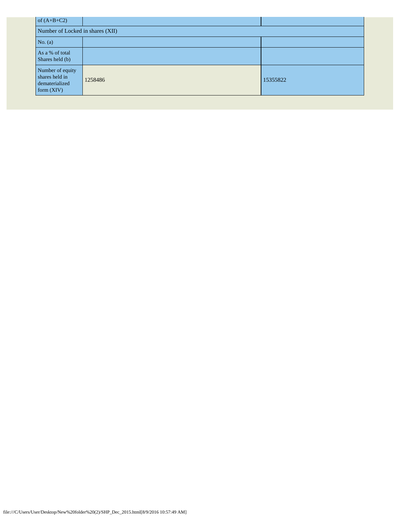| of $(A+B+C2)$                                                        |         |          |
|----------------------------------------------------------------------|---------|----------|
| Number of Locked in shares (XII)                                     |         |          |
| No. $(a)$                                                            |         |          |
| As a % of total<br>Shares held (b)                                   |         |          |
| Number of equity<br>shares held in<br>dematerialized<br>form $(XIV)$ | 1258486 | 15355822 |